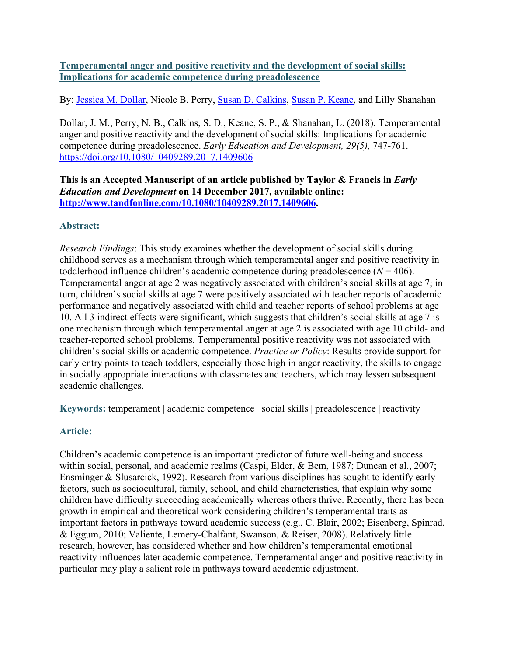# **Temperamental anger and positive reactivity and the development of social skills: Implications for academic competence during preadolescence**

By: [Jessica M. Dollar,](https://libres.uncg.edu/ir/uncg/clist.aspx?id=20675) Nicole B. Perry, [Susan D. Calkins,](https://libres.uncg.edu/ir/uncg/clist.aspx?id=1258) [Susan P. Keane,](http://libres.uncg.edu/ir/uncg/clist.aspx?id=557) and Lilly Shanahan

Dollar, J. M., Perry, N. B., Calkins, S. D., Keane, S. P., & Shanahan, L. (2018). Temperamental anger and positive reactivity and the development of social skills: Implications for academic competence during preadolescence. *Early Education and Development, 29(5),* 747-761. <https://doi.org/10.1080/10409289.2017.1409606>

**This is an Accepted Manuscript of an article published by Taylor & Francis in** *Early Education and Development* **on 14 December 2017, available online: [http://www.tandfonline.com/10.1080/10409289.2017.1409606.](http://www.tandfonline.com/10.1080/10409289.2017.1409606)**

# **Abstract:**

*Research Findings*: This study examines whether the development of social skills during childhood serves as a mechanism through which temperamental anger and positive reactivity in toddlerhood influence children's academic competence during preadolescence  $(N = 406)$ . Temperamental anger at age 2 was negatively associated with children's social skills at age 7; in turn, children's social skills at age 7 were positively associated with teacher reports of academic performance and negatively associated with child and teacher reports of school problems at age 10. All 3 indirect effects were significant, which suggests that children's social skills at age 7 is one mechanism through which temperamental anger at age 2 is associated with age 10 child- and teacher-reported school problems. Temperamental positive reactivity was not associated with children's social skills or academic competence. *Practice or Policy*: Results provide support for early entry points to teach toddlers, especially those high in anger reactivity, the skills to engage in socially appropriate interactions with classmates and teachers, which may lessen subsequent academic challenges.

**Keywords:** temperament | academic competence | social skills | preadolescence | reactivity

# **Article:**

Children's academic competence is an important predictor of future well-being and success within social, personal, and academic realms (Caspi, Elder, & Bem, 1987; Duncan et al., 2007; Ensminger & Slusarcick, 1992). Research from various disciplines has sought to identify early factors, such as sociocultural, family, school, and child characteristics, that explain why some children have difficulty succeeding academically whereas others thrive. Recently, there has been growth in empirical and theoretical work considering children's temperamental traits as important factors in pathways toward academic success (e.g., C. Blair, 2002; Eisenberg, Spinrad, & Eggum, 2010; Valiente, Lemery-Chalfant, Swanson, & Reiser, 2008). Relatively little research, however, has considered whether and how children's temperamental emotional reactivity influences later academic competence. Temperamental anger and positive reactivity in particular may play a salient role in pathways toward academic adjustment.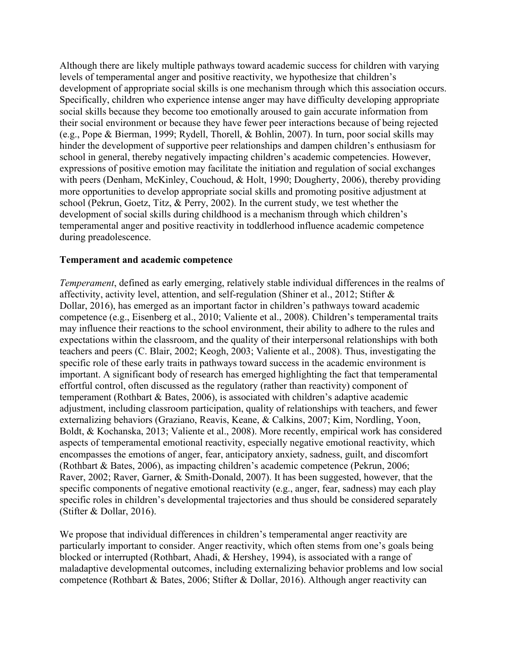Although there are likely multiple pathways toward academic success for children with varying levels of temperamental anger and positive reactivity, we hypothesize that children's development of appropriate social skills is one mechanism through which this association occurs. Specifically, children who experience intense anger may have difficulty developing appropriate social skills because they become too emotionally aroused to gain accurate information from their social environment or because they have fewer peer interactions because of being rejected (e.g., Pope & Bierman, 1999; Rydell, Thorell, & Bohlin, 2007). In turn, poor social skills may hinder the development of supportive peer relationships and dampen children's enthusiasm for school in general, thereby negatively impacting children's academic competencies. However, expressions of positive emotion may facilitate the initiation and regulation of social exchanges with peers (Denham, McKinley, Couchoud, & Holt, 1990; Dougherty, 2006), thereby providing more opportunities to develop appropriate social skills and promoting positive adjustment at school (Pekrun, Goetz, Titz, & Perry, 2002). In the current study, we test whether the development of social skills during childhood is a mechanism through which children's temperamental anger and positive reactivity in toddlerhood influence academic competence during preadolescence.

### **Temperament and academic competence**

*Temperament*, defined as early emerging, relatively stable individual differences in the realms of affectivity, activity level, attention, and self-regulation (Shiner et al., 2012; Stifter & Dollar, 2016), has emerged as an important factor in children's pathways toward academic competence (e.g., Eisenberg et al., 2010; Valiente et al., 2008). Children's temperamental traits may influence their reactions to the school environment, their ability to adhere to the rules and expectations within the classroom, and the quality of their interpersonal relationships with both teachers and peers (C. Blair, 2002; Keogh, 2003; Valiente et al., 2008). Thus, investigating the specific role of these early traits in pathways toward success in the academic environment is important. A significant body of research has emerged highlighting the fact that temperamental effortful control, often discussed as the regulatory (rather than reactivity) component of temperament (Rothbart & Bates, 2006), is associated with children's adaptive academic adjustment, including classroom participation, quality of relationships with teachers, and fewer externalizing behaviors (Graziano, Reavis, Keane, & Calkins, 2007; Kim, Nordling, Yoon, Boldt, & Kochanska, 2013; Valiente et al., 2008). More recently, empirical work has considered aspects of temperamental emotional reactivity, especially negative emotional reactivity, which encompasses the emotions of anger, fear, anticipatory anxiety, sadness, guilt, and discomfort (Rothbart & Bates, 2006), as impacting children's academic competence (Pekrun, 2006; Raver, 2002; Raver, Garner, & Smith-Donald, 2007). It has been suggested, however, that the specific components of negative emotional reactivity (e.g., anger, fear, sadness) may each play specific roles in children's developmental trajectories and thus should be considered separately (Stifter & Dollar, 2016).

We propose that individual differences in children's temperamental anger reactivity are particularly important to consider. Anger reactivity, which often stems from one's goals being blocked or interrupted (Rothbart, Ahadi, & Hershey, 1994), is associated with a range of maladaptive developmental outcomes, including externalizing behavior problems and low social competence (Rothbart & Bates, 2006; Stifter & Dollar, 2016). Although anger reactivity can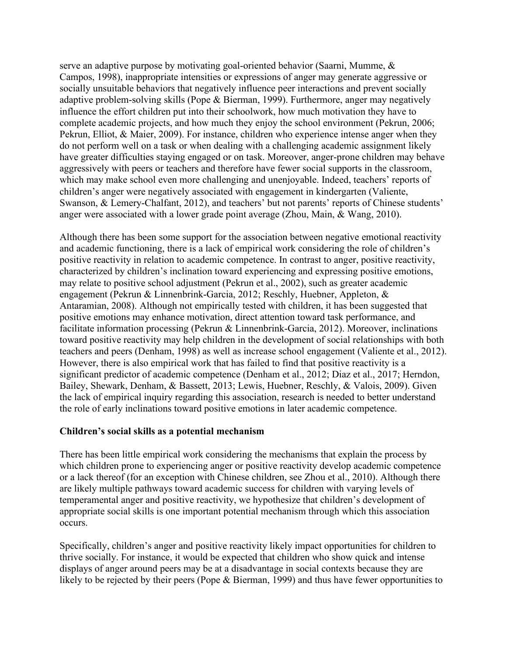serve an adaptive purpose by motivating goal-oriented behavior (Saarni, Mumme, & Campos, 1998), inappropriate intensities or expressions of anger may generate aggressive or socially unsuitable behaviors that negatively influence peer interactions and prevent socially adaptive problem-solving skills (Pope & Bierman, 1999). Furthermore, anger may negatively influence the effort children put into their schoolwork, how much motivation they have to complete academic projects, and how much they enjoy the school environment (Pekrun, 2006; Pekrun, Elliot, & Maier, 2009). For instance, children who experience intense anger when they do not perform well on a task or when dealing with a challenging academic assignment likely have greater difficulties staying engaged or on task. Moreover, anger-prone children may behave aggressively with peers or teachers and therefore have fewer social supports in the classroom, which may make school even more challenging and unenjoyable. Indeed, teachers' reports of children's anger were negatively associated with engagement in kindergarten (Valiente, Swanson, & Lemery-Chalfant, 2012), and teachers' but not parents' reports of Chinese students' anger were associated with a lower grade point average (Zhou, Main, & Wang, 2010).

Although there has been some support for the association between negative emotional reactivity and academic functioning, there is a lack of empirical work considering the role of children's positive reactivity in relation to academic competence. In contrast to anger, positive reactivity, characterized by children's inclination toward experiencing and expressing positive emotions, may relate to positive school adjustment (Pekrun et al., 2002), such as greater academic engagement (Pekrun & Linnenbrink-Garcia, 2012; Reschly, Huebner, Appleton, & Antaramian, 2008). Although not empirically tested with children, it has been suggested that positive emotions may enhance motivation, direct attention toward task performance, and facilitate information processing (Pekrun & Linnenbrink-Garcia, 2012). Moreover, inclinations toward positive reactivity may help children in the development of social relationships with both teachers and peers (Denham, 1998) as well as increase school engagement (Valiente et al., 2012). However, there is also empirical work that has failed to find that positive reactivity is a significant predictor of academic competence (Denham et al., 2012; Diaz et al., 2017; Herndon, Bailey, Shewark, Denham, & Bassett, 2013; Lewis, Huebner, Reschly, & Valois, 2009). Given the lack of empirical inquiry regarding this association, research is needed to better understand the role of early inclinations toward positive emotions in later academic competence.

# **Children's social skills as a potential mechanism**

There has been little empirical work considering the mechanisms that explain the process by which children prone to experiencing anger or positive reactivity develop academic competence or a lack thereof (for an exception with Chinese children, see Zhou et al., 2010). Although there are likely multiple pathways toward academic success for children with varying levels of temperamental anger and positive reactivity, we hypothesize that children's development of appropriate social skills is one important potential mechanism through which this association occurs.

Specifically, children's anger and positive reactivity likely impact opportunities for children to thrive socially. For instance, it would be expected that children who show quick and intense displays of anger around peers may be at a disadvantage in social contexts because they are likely to be rejected by their peers (Pope & Bierman, 1999) and thus have fewer opportunities to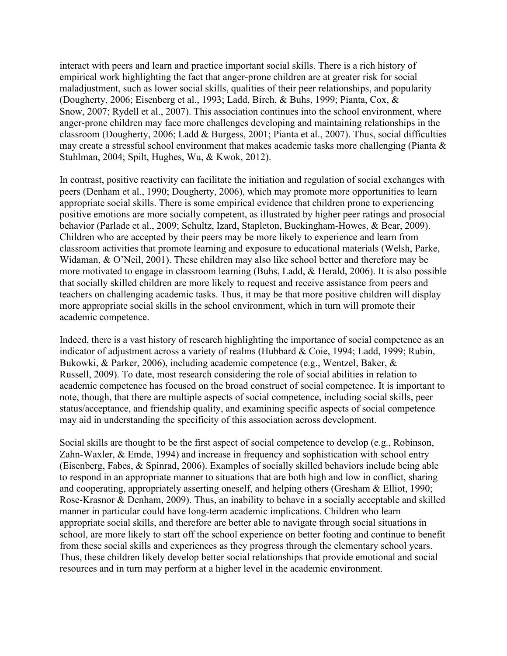interact with peers and learn and practice important social skills. There is a rich history of empirical work highlighting the fact that anger-prone children are at greater risk for social maladjustment, such as lower social skills, qualities of their peer relationships, and popularity (Dougherty, 2006; Eisenberg et al., 1993; Ladd, Birch, & Buhs, 1999; Pianta, Cox, & Snow, 2007; Rydell et al., 2007). This association continues into the school environment, where anger-prone children may face more challenges developing and maintaining relationships in the classroom (Dougherty, 2006; Ladd & Burgess, 2001; Pianta et al., 2007). Thus, social difficulties may create a stressful school environment that makes academic tasks more challenging (Pianta & Stuhlman, 2004; Spilt, Hughes, Wu, & Kwok, 2012).

In contrast, positive reactivity can facilitate the initiation and regulation of social exchanges with peers (Denham et al., 1990; Dougherty, 2006), which may promote more opportunities to learn appropriate social skills. There is some empirical evidence that children prone to experiencing positive emotions are more socially competent, as illustrated by higher peer ratings and prosocial behavior (Parlade et al., 2009; Schultz, Izard, Stapleton, Buckingham-Howes, & Bear, 2009). Children who are accepted by their peers may be more likely to experience and learn from classroom activities that promote learning and exposure to educational materials (Welsh, Parke, Widaman, & O'Neil, 2001). These children may also like school better and therefore may be more motivated to engage in classroom learning (Buhs, Ladd, & Herald, 2006). It is also possible that socially skilled children are more likely to request and receive assistance from peers and teachers on challenging academic tasks. Thus, it may be that more positive children will display more appropriate social skills in the school environment, which in turn will promote their academic competence.

Indeed, there is a vast history of research highlighting the importance of social competence as an indicator of adjustment across a variety of realms (Hubbard & Coie, 1994; Ladd, 1999; Rubin, Bukowki, & Parker, 2006), including academic competence (e.g., Wentzel, Baker, & Russell, 2009). To date, most research considering the role of social abilities in relation to academic competence has focused on the broad construct of social competence. It is important to note, though, that there are multiple aspects of social competence, including social skills, peer status/acceptance, and friendship quality, and examining specific aspects of social competence may aid in understanding the specificity of this association across development.

Social skills are thought to be the first aspect of social competence to develop (e.g., Robinson, Zahn-Waxler, & Emde, 1994) and increase in frequency and sophistication with school entry (Eisenberg, Fabes, & Spinrad, 2006). Examples of socially skilled behaviors include being able to respond in an appropriate manner to situations that are both high and low in conflict, sharing and cooperating, appropriately asserting oneself, and helping others (Gresham & Elliot, 1990; Rose-Krasnor & Denham, 2009). Thus, an inability to behave in a socially acceptable and skilled manner in particular could have long-term academic implications. Children who learn appropriate social skills, and therefore are better able to navigate through social situations in school, are more likely to start off the school experience on better footing and continue to benefit from these social skills and experiences as they progress through the elementary school years. Thus, these children likely develop better social relationships that provide emotional and social resources and in turn may perform at a higher level in the academic environment.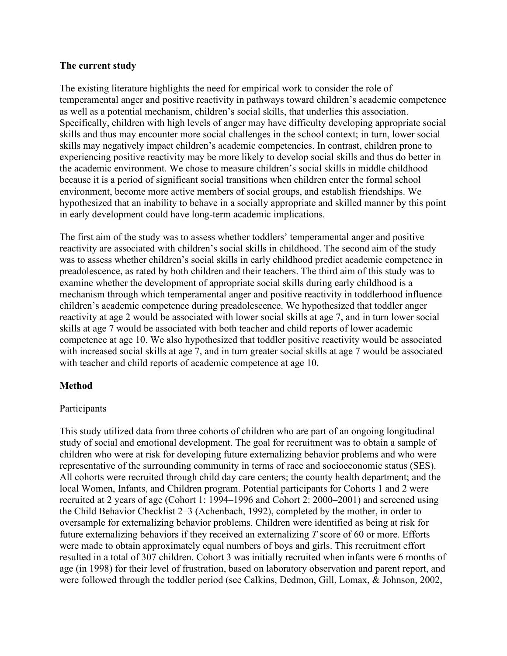# **The current study**

The existing literature highlights the need for empirical work to consider the role of temperamental anger and positive reactivity in pathways toward children's academic competence as well as a potential mechanism, children's social skills, that underlies this association. Specifically, children with high levels of anger may have difficulty developing appropriate social skills and thus may encounter more social challenges in the school context; in turn, lower social skills may negatively impact children's academic competencies. In contrast, children prone to experiencing positive reactivity may be more likely to develop social skills and thus do better in the academic environment. We chose to measure children's social skills in middle childhood because it is a period of significant social transitions when children enter the formal school environment, become more active members of social groups, and establish friendships. We hypothesized that an inability to behave in a socially appropriate and skilled manner by this point in early development could have long-term academic implications.

The first aim of the study was to assess whether toddlers' temperamental anger and positive reactivity are associated with children's social skills in childhood. The second aim of the study was to assess whether children's social skills in early childhood predict academic competence in preadolescence, as rated by both children and their teachers. The third aim of this study was to examine whether the development of appropriate social skills during early childhood is a mechanism through which temperamental anger and positive reactivity in toddlerhood influence children's academic competence during preadolescence. We hypothesized that toddler anger reactivity at age 2 would be associated with lower social skills at age 7, and in turn lower social skills at age 7 would be associated with both teacher and child reports of lower academic competence at age 10. We also hypothesized that toddler positive reactivity would be associated with increased social skills at age 7, and in turn greater social skills at age 7 would be associated with teacher and child reports of academic competence at age 10.

# **Method**

# Participants

This study utilized data from three cohorts of children who are part of an ongoing longitudinal study of social and emotional development. The goal for recruitment was to obtain a sample of children who were at risk for developing future externalizing behavior problems and who were representative of the surrounding community in terms of race and socioeconomic status (SES). All cohorts were recruited through child day care centers; the county health department; and the local Women, Infants, and Children program. Potential participants for Cohorts 1 and 2 were recruited at 2 years of age (Cohort 1: 1994–1996 and Cohort 2: 2000–2001) and screened using the Child Behavior Checklist 2–3 (Achenbach, 1992), completed by the mother, in order to oversample for externalizing behavior problems. Children were identified as being at risk for future externalizing behaviors if they received an externalizing *T* score of 60 or more. Efforts were made to obtain approximately equal numbers of boys and girls. This recruitment effort resulted in a total of 307 children. Cohort 3 was initially recruited when infants were 6 months of age (in 1998) for their level of frustration, based on laboratory observation and parent report, and were followed through the toddler period (see Calkins, Dedmon, Gill, Lomax, & Johnson, 2002,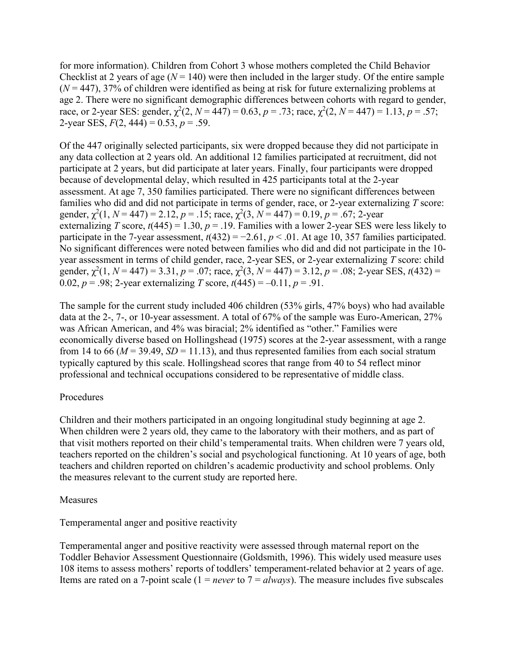for more information). Children from Cohort 3 whose mothers completed the Child Behavior Checklist at 2 years of age  $(N = 140)$  were then included in the larger study. Of the entire sample (*N* = 447), 37% of children were identified as being at risk for future externalizing problems at age 2. There were no significant demographic differences between cohorts with regard to gender, race, or 2-year SES: gender,  $\chi^2(2, N = 447) = 0.63$ ,  $p = .73$ ; race,  $\chi^2(2, N = 447) = 1.13$ ,  $p = .57$ ; 2-year SES, *F*(2, 444) = 0.53, *p* = .59.

Of the 447 originally selected participants, six were dropped because they did not participate in any data collection at 2 years old. An additional 12 families participated at recruitment, did not participate at 2 years, but did participate at later years. Finally, four participants were dropped because of developmental delay, which resulted in 425 participants total at the 2-year assessment. At age 7, 350 families participated. There were no significant differences between families who did and did not participate in terms of gender, race, or 2-year externalizing *T* score: gender,  $\chi^2(1, N = 447) = 2.12, p = .15$ ; race,  $\chi^2(3, N = 447) = 0.19, p = .67$ ; 2-year externalizing *T* score,  $t(445) = 1.30$ ,  $p = .19$ . Families with a lower 2-year SES were less likely to participate in the 7-year assessment,  $t(432) = -2.61$ ,  $p < .01$ . At age 10, 357 families participated. No significant differences were noted between families who did and did not participate in the 10 year assessment in terms of child gender, race, 2-year SES, or 2-year externalizing *T* score: child gender,  $\chi^2(1, N = 447) = 3.31$ ,  $p = .07$ ; race,  $\chi^2(3, N = 447) = 3.12$ ,  $p = .08$ ; 2-year SES,  $t(432) =$ 0.02,  $p = .98$ ; 2-year externalizing *T* score,  $t(445) = -0.11$ ,  $p = .91$ .

The sample for the current study included 406 children (53% girls, 47% boys) who had available data at the 2-, 7-, or 10-year assessment. A total of 67% of the sample was Euro-American, 27% was African American, and 4% was biracial; 2% identified as "other." Families were economically diverse based on Hollingshead (1975) scores at the 2-year assessment, with a range from 14 to 66 ( $M = 39.49$ ,  $SD = 11.13$ ), and thus represented families from each social stratum typically captured by this scale. Hollingshead scores that range from 40 to 54 reflect minor professional and technical occupations considered to be representative of middle class.

# Procedures

Children and their mothers participated in an ongoing longitudinal study beginning at age 2. When children were 2 years old, they came to the laboratory with their mothers, and as part of that visit mothers reported on their child's temperamental traits. When children were 7 years old, teachers reported on the children's social and psychological functioning. At 10 years of age, both teachers and children reported on children's academic productivity and school problems. Only the measures relevant to the current study are reported here.

# Measures

# Temperamental anger and positive reactivity

Temperamental anger and positive reactivity were assessed through maternal report on the Toddler Behavior Assessment Questionnaire (Goldsmith, 1996). This widely used measure uses 108 items to assess mothers' reports of toddlers' temperament-related behavior at 2 years of age. Items are rated on a 7-point scale (1 = *never* to 7 = *always*). The measure includes five subscales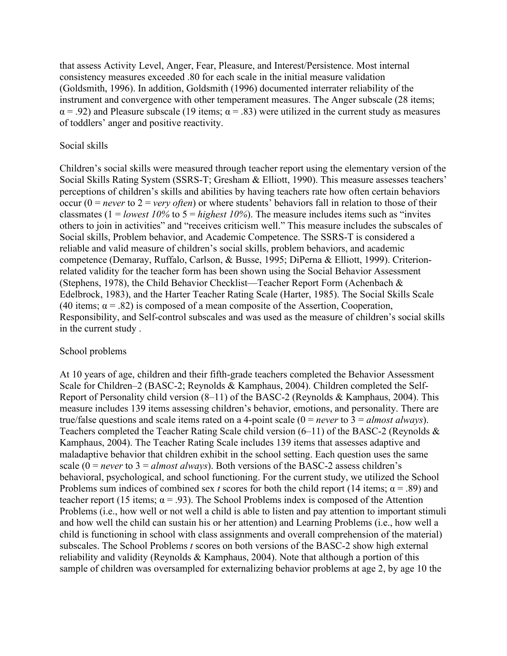that assess Activity Level, Anger, Fear, Pleasure, and Interest/Persistence. Most internal consistency measures exceeded .80 for each scale in the initial measure validation (Goldsmith, 1996). In addition, Goldsmith (1996) documented interrater reliability of the instrument and convergence with other temperament measures. The Anger subscale (28 items;  $\alpha$  = .92) and Pleasure subscale (19 items;  $\alpha$  = .83) were utilized in the current study as measures of toddlers' anger and positive reactivity.

### Social skills

Children's social skills were measured through teacher report using the elementary version of the Social Skills Rating System (SSRS-T; Gresham & Elliott, 1990). This measure assesses teachers' perceptions of children's skills and abilities by having teachers rate how often certain behaviors occur ( $0 = never$  to  $2 = very$  *often*) or where students' behaviors fall in relation to those of their classmates ( $1 =$ *lowest 10%* to  $5 =$ *highest 10%*). The measure includes items such as "invites" others to join in activities" and "receives criticism well." This measure includes the subscales of Social skills, Problem behavior, and Academic Competence. The SSRS-T is considered a reliable and valid measure of children's social skills, problem behaviors, and academic competence (Demaray, Ruffalo, Carlson, & Busse, 1995; DiPerna & Elliott, 1999). Criterionrelated validity for the teacher form has been shown using the Social Behavior Assessment (Stephens, 1978), the Child Behavior Checklist—Teacher Report Form (Achenbach & Edelbrock, 1983), and the Harter Teacher Rating Scale (Harter, 1985). The Social Skills Scale (40 items;  $\alpha$  = .82) is composed of a mean composite of the Assertion, Cooperation, Responsibility, and Self-control subscales and was used as the measure of children's social skills in the current study .

#### School problems

At 10 years of age, children and their fifth-grade teachers completed the Behavior Assessment Scale for Children–2 (BASC-2; Reynolds & Kamphaus, 2004). Children completed the Self-Report of Personality child version (8–11) of the BASC-2 (Reynolds & Kamphaus, 2004). This measure includes 139 items assessing children's behavior, emotions, and personality. There are true/false questions and scale items rated on a 4-point scale (0 = *never* to 3 = *almost always*). Teachers completed the Teacher Rating Scale child version (6–11) of the BASC-2 (Reynolds & Kamphaus, 2004). The Teacher Rating Scale includes 139 items that assesses adaptive and maladaptive behavior that children exhibit in the school setting. Each question uses the same scale  $(0 = never to 3 = almost always)$ . Both versions of the BASC-2 assess children's behavioral, psychological, and school functioning. For the current study, we utilized the School Problems sum indices of combined sex *t* scores for both the child report (14 items;  $\alpha$  = .89) and teacher report (15 items;  $\alpha = .93$ ). The School Problems index is composed of the Attention Problems (i.e., how well or not well a child is able to listen and pay attention to important stimuli and how well the child can sustain his or her attention) and Learning Problems (i.e., how well a child is functioning in school with class assignments and overall comprehension of the material) subscales. The School Problems *t* scores on both versions of the BASC-2 show high external reliability and validity (Reynolds & Kamphaus, 2004). Note that although a portion of this sample of children was oversampled for externalizing behavior problems at age 2, by age 10 the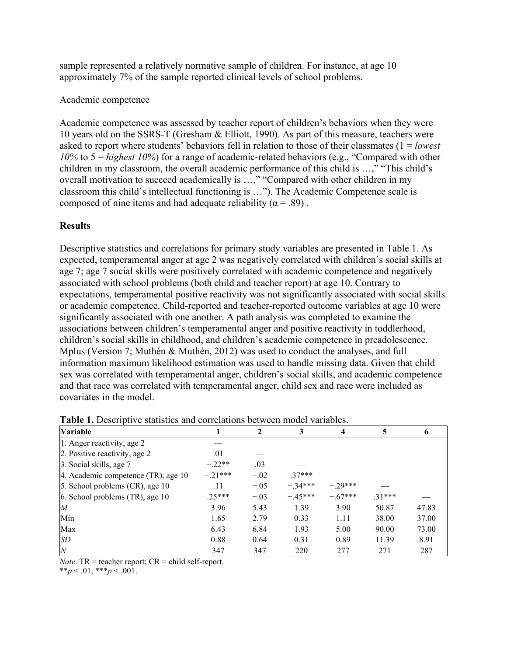sample represented a relatively normative sample of children. For instance, at age 10 approximately 7% of the sample reported clinical levels of school problems.

# Academic competence

Academic competence was assessed by teacher report of children's behaviors when they were 10 years old on the SSRS-T (Gresham & Elliott, 1990). As part of this measure, teachers were asked to report where students' behaviors fell in relation to those of their classmates (1 = *lowest 10%* to 5 = *highest 10%*) for a range of academic-related behaviors (e.g., "Compared with other children in my classroom, the overall academic performance of this child is …," "This child's overall motivation to succeed academically is ...," "Compared with other children in my classroom this child's intellectual functioning is …"). The Academic Competence scale is composed of nine items and had adequate reliability ( $\alpha = .89$ ).

# **Results**

Descriptive statistics and correlations for primary study variables are presented in Table 1. As expected, temperamental anger at age 2 was negatively correlated with children's social skills at age 7; age 7 social skills were positively correlated with academic competence and negatively associated with school problems (both child and teacher report) at age 10. Contrary to expectations, temperamental positive reactivity was not significantly associated with social skills or academic competence. Child-reported and teacher-reported outcome variables at age 10 were significantly associated with one another. A path analysis was completed to examine the associations between children's temperamental anger and positive reactivity in toddlerhood, children's social skills in childhood, and children's academic competence in preadolescence. Mplus (Version 7; Muthén & Muthén, 2012) was used to conduct the analyses, and full information maximum likelihood estimation was used to handle missing data. Given that child sex was correlated with temperamental anger, children's social skills, and academic competence and that race was correlated with temperamental anger, child sex and race were included as covariates in the model.

| <b>Variable</b>                     |           | 2      | 3         | 4         | 5        | 6     |
|-------------------------------------|-----------|--------|-----------|-----------|----------|-------|
| 1. Anger reactivity, age 2          |           |        |           |           |          |       |
| 2. Positive reactivity, age 2       | .01       |        |           |           |          |       |
| 3. Social skills, age 7             | $-.22**$  | .03    |           |           |          |       |
| 4. Academic competence (TR), age 10 | $-.21***$ | $-.02$ | $.37***$  |           |          |       |
| 5. School problems $(CR)$ , age 10  | .11       | $-.05$ | $-.34***$ | $-29***$  |          |       |
| $6.$ School problems (TR), age 10   | 25***     | $-.03$ | $-.45***$ | $-.67***$ | $.31***$ |       |
| M                                   | 3.96      | 5.43   | 1.39      | 3.90      | 50.87    | 47.83 |
| Min                                 | 1.65      | 2.79   | 0.33      | 1.11      | 38.00    | 37.00 |
| Max                                 | 6.43      | 6.84   | 1.93      | 5.00      | 90.00    | 73.00 |
| <b>SD</b>                           | 0.88      | 0.64   | 0.31      | 0.89      | 11.39    | 8.91  |
| $\boldsymbol{N}$                    | 347       | 347    | 220       | 277       | 271      | 287   |

**Table 1.** Descriptive statistics and correlations between model variables.

*Note*. TR = teacher report;  $CR = child self-report$ .

\*\**p* < .01, \*\*\**p* < .001.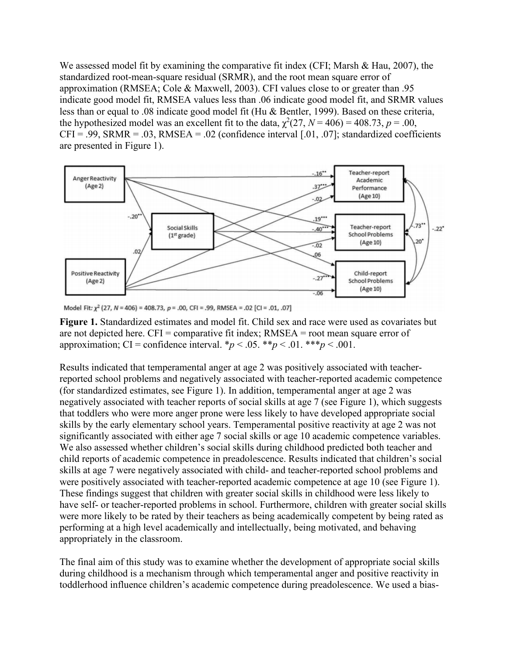We assessed model fit by examining the comparative fit index (CFI; Marsh & Hau, 2007), the standardized root-mean-square residual (SRMR), and the root mean square error of approximation (RMSEA; Cole & Maxwell, 2003). CFI values close to or greater than .95 indicate good model fit, RMSEA values less than .06 indicate good model fit, and SRMR values less than or equal to .08 indicate good model fit (Hu & Bentler, 1999). Based on these criteria, the hypothesized model was an excellent fit to the data,  $\chi^2(27, N = 406) = 408.73, p = .00,$  $CFI = .99$ , SRMR = .03, RMSEA = .02 (confidence interval [.01, .07]; standardized coefficients are presented in Figure 1).



Model Fit:  $\chi^2$  (27, N = 406) = 408.73, p = .00, CFI = .99, RMSEA = .02 [CI = .01, .07]

**Figure 1.** Standardized estimates and model fit. Child sex and race were used as covariates but are not depicted here. CFI = comparative fit index; RMSEA = root mean square error of approximation; CI = confidence interval.  $\binom{*}{p}$  < .05.  $\binom{**}{p}$  < .01.  $\binom{**}{p}$  < .001.

Results indicated that temperamental anger at age 2 was positively associated with teacherreported school problems and negatively associated with teacher-reported academic competence (for standardized estimates, see Figure 1). In addition, temperamental anger at age 2 was negatively associated with teacher reports of social skills at age 7 (see Figure 1), which suggests that toddlers who were more anger prone were less likely to have developed appropriate social skills by the early elementary school years. Temperamental positive reactivity at age 2 was not significantly associated with either age 7 social skills or age 10 academic competence variables. We also assessed whether children's social skills during childhood predicted both teacher and child reports of academic competence in preadolescence. Results indicated that children's social skills at age 7 were negatively associated with child- and teacher-reported school problems and were positively associated with teacher-reported academic competence at age 10 (see Figure 1). These findings suggest that children with greater social skills in childhood were less likely to have self- or teacher-reported problems in school. Furthermore, children with greater social skills were more likely to be rated by their teachers as being academically competent by being rated as performing at a high level academically and intellectually, being motivated, and behaving appropriately in the classroom.

The final aim of this study was to examine whether the development of appropriate social skills during childhood is a mechanism through which temperamental anger and positive reactivity in toddlerhood influence children's academic competence during preadolescence. We used a bias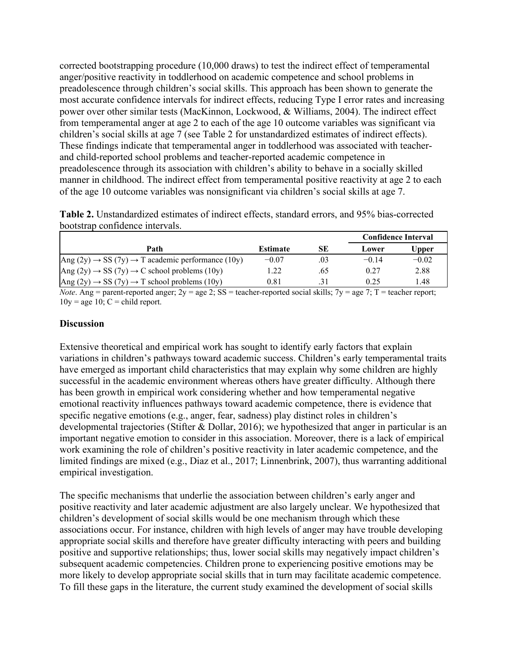corrected bootstrapping procedure (10,000 draws) to test the indirect effect of temperamental anger/positive reactivity in toddlerhood on academic competence and school problems in preadolescence through children's social skills. This approach has been shown to generate the most accurate confidence intervals for indirect effects, reducing Type I error rates and increasing power over other similar tests (MacKinnon, Lockwood, & Williams, 2004). The indirect effect from temperamental anger at age 2 to each of the age 10 outcome variables was significant via children's social skills at age 7 (see Table 2 for unstandardized estimates of indirect effects). These findings indicate that temperamental anger in toddlerhood was associated with teacherand child-reported school problems and teacher-reported academic competence in preadolescence through its association with children's ability to behave in a socially skilled manner in childhood. The indirect effect from temperamental positive reactivity at age 2 to each of the age 10 outcome variables was nonsignificant via children's social skills at age 7.

| <b>Table 2.</b> Unstandardized estimates of indirect effects, standard errors, and 95% bias-corrected |  |  |  |
|-------------------------------------------------------------------------------------------------------|--|--|--|
| bootstrap confidence intervals.                                                                       |  |  |  |

|                                                                                                                                                                                                                                   |                 |                          | <b>Confidence Interval</b> |              |
|-----------------------------------------------------------------------------------------------------------------------------------------------------------------------------------------------------------------------------------|-----------------|--------------------------|----------------------------|--------------|
| Path                                                                                                                                                                                                                              | <b>Estimate</b> | <b>SE</b>                | Lower                      | <b>Upper</b> |
| Ang (2y) $\rightarrow$ SS (7y) $\rightarrow$ T academic performance (10y)                                                                                                                                                         | $-0.07$         | .03                      | $-0.14$                    | $-0.02$      |
| Ang $(2y) \rightarrow SS (7y) \rightarrow C$ school problems (10y)                                                                                                                                                                | 1.22            | .65                      | 0.27                       | 2.88         |
| $\text{Ang } (2y) \rightarrow \text{SS } (7y) \rightarrow \text{T}$ school problems (10y)                                                                                                                                         | 0.81            | .31                      | 0.25                       | 1.48         |
| $\mathbf{r}$ , and the contract of the contract of the contract of the contract of the contract of the contract of the contract of the contract of the contract of the contract of the contract of the contract of the contract o |                 | $\overline{\phantom{0}}$ |                            |              |

*Note*. Ang = parent-reported anger;  $2y = age \, 2$ ; SS = teacher-reported social skills;  $7y = age \, 7$ ; T = teacher report;  $10y = age 10$ ;  $C = child report$ .

# **Discussion**

Extensive theoretical and empirical work has sought to identify early factors that explain variations in children's pathways toward academic success. Children's early temperamental traits have emerged as important child characteristics that may explain why some children are highly successful in the academic environment whereas others have greater difficulty. Although there has been growth in empirical work considering whether and how temperamental negative emotional reactivity influences pathways toward academic competence, there is evidence that specific negative emotions (e.g., anger, fear, sadness) play distinct roles in children's developmental trajectories (Stifter & Dollar, 2016); we hypothesized that anger in particular is an important negative emotion to consider in this association. Moreover, there is a lack of empirical work examining the role of children's positive reactivity in later academic competence, and the limited findings are mixed (e.g., Diaz et al., 2017; Linnenbrink, 2007), thus warranting additional empirical investigation.

The specific mechanisms that underlie the association between children's early anger and positive reactivity and later academic adjustment are also largely unclear. We hypothesized that children's development of social skills would be one mechanism through which these associations occur. For instance, children with high levels of anger may have trouble developing appropriate social skills and therefore have greater difficulty interacting with peers and building positive and supportive relationships; thus, lower social skills may negatively impact children's subsequent academic competencies. Children prone to experiencing positive emotions may be more likely to develop appropriate social skills that in turn may facilitate academic competence. To fill these gaps in the literature, the current study examined the development of social skills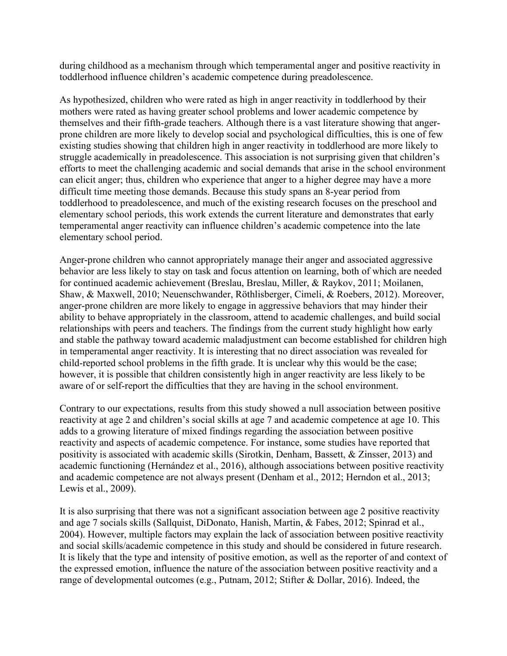during childhood as a mechanism through which temperamental anger and positive reactivity in toddlerhood influence children's academic competence during preadolescence.

As hypothesized, children who were rated as high in anger reactivity in toddlerhood by their mothers were rated as having greater school problems and lower academic competence by themselves and their fifth-grade teachers. Although there is a vast literature showing that angerprone children are more likely to develop social and psychological difficulties, this is one of few existing studies showing that children high in anger reactivity in toddlerhood are more likely to struggle academically in preadolescence. This association is not surprising given that children's efforts to meet the challenging academic and social demands that arise in the school environment can elicit anger; thus, children who experience that anger to a higher degree may have a more difficult time meeting those demands. Because this study spans an 8-year period from toddlerhood to preadolescence, and much of the existing research focuses on the preschool and elementary school periods, this work extends the current literature and demonstrates that early temperamental anger reactivity can influence children's academic competence into the late elementary school period.

Anger-prone children who cannot appropriately manage their anger and associated aggressive behavior are less likely to stay on task and focus attention on learning, both of which are needed for continued academic achievement (Breslau, Breslau, Miller, & Raykov, 2011; Moilanen, Shaw, & Maxwell, 2010; Neuenschwander, Röthlisberger, Cimeli, & Roebers, 2012). Moreover, anger-prone children are more likely to engage in aggressive behaviors that may hinder their ability to behave appropriately in the classroom, attend to academic challenges, and build social relationships with peers and teachers. The findings from the current study highlight how early and stable the pathway toward academic maladjustment can become established for children high in temperamental anger reactivity. It is interesting that no direct association was revealed for child-reported school problems in the fifth grade. It is unclear why this would be the case; however, it is possible that children consistently high in anger reactivity are less likely to be aware of or self-report the difficulties that they are having in the school environment.

Contrary to our expectations, results from this study showed a null association between positive reactivity at age 2 and children's social skills at age 7 and academic competence at age 10. This adds to a growing literature of mixed findings regarding the association between positive reactivity and aspects of academic competence. For instance, some studies have reported that positivity is associated with academic skills (Sirotkin, Denham, Bassett, & Zinsser, 2013) and academic functioning (Hernández et al., 2016), although associations between positive reactivity and academic competence are not always present (Denham et al., 2012; Herndon et al., 2013; Lewis et al., 2009).

It is also surprising that there was not a significant association between age 2 positive reactivity and age 7 socials skills (Sallquist, DiDonato, Hanish, Martin, & Fabes, 2012; Spinrad et al., 2004). However, multiple factors may explain the lack of association between positive reactivity and social skills/academic competence in this study and should be considered in future research. It is likely that the type and intensity of positive emotion, as well as the reporter of and context of the expressed emotion, influence the nature of the association between positive reactivity and a range of developmental outcomes (e.g., Putnam, 2012; Stifter & Dollar, 2016). Indeed, the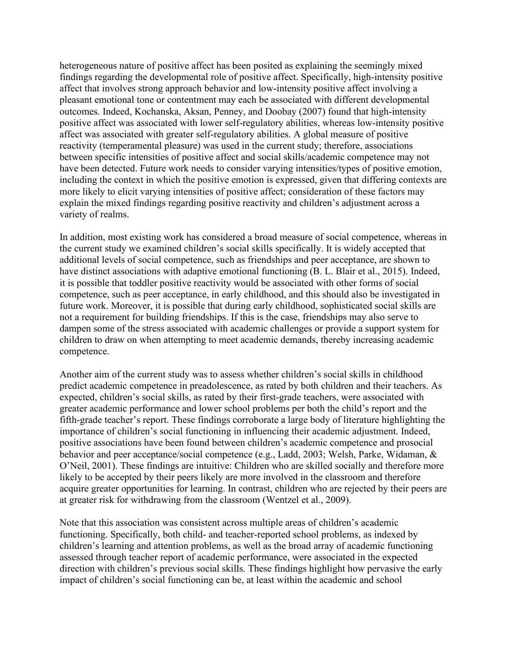heterogeneous nature of positive affect has been posited as explaining the seemingly mixed findings regarding the developmental role of positive affect. Specifically, high-intensity positive affect that involves strong approach behavior and low-intensity positive affect involving a pleasant emotional tone or contentment may each be associated with different developmental outcomes. Indeed, Kochanska, Aksan, Penney, and Doobay (2007) found that high-intensity positive affect was associated with lower self-regulatory abilities, whereas low-intensity positive affect was associated with greater self-regulatory abilities. A global measure of positive reactivity (temperamental pleasure) was used in the current study; therefore, associations between specific intensities of positive affect and social skills/academic competence may not have been detected. Future work needs to consider varying intensities/types of positive emotion, including the context in which the positive emotion is expressed, given that differing contexts are more likely to elicit varying intensities of positive affect; consideration of these factors may explain the mixed findings regarding positive reactivity and children's adjustment across a variety of realms.

In addition, most existing work has considered a broad measure of social competence, whereas in the current study we examined children's social skills specifically. It is widely accepted that additional levels of social competence, such as friendships and peer acceptance, are shown to have distinct associations with adaptive emotional functioning (B. L. Blair et al., 2015). Indeed, it is possible that toddler positive reactivity would be associated with other forms of social competence, such as peer acceptance, in early childhood, and this should also be investigated in future work. Moreover, it is possible that during early childhood, sophisticated social skills are not a requirement for building friendships. If this is the case, friendships may also serve to dampen some of the stress associated with academic challenges or provide a support system for children to draw on when attempting to meet academic demands, thereby increasing academic competence.

Another aim of the current study was to assess whether children's social skills in childhood predict academic competence in preadolescence, as rated by both children and their teachers. As expected, children's social skills, as rated by their first-grade teachers, were associated with greater academic performance and lower school problems per both the child's report and the fifth-grade teacher's report. These findings corroborate a large body of literature highlighting the importance of children's social functioning in influencing their academic adjustment. Indeed, positive associations have been found between children's academic competence and prosocial behavior and peer acceptance/social competence (e.g., Ladd, 2003; Welsh, Parke, Widaman, & O'Neil, 2001). These findings are intuitive: Children who are skilled socially and therefore more likely to be accepted by their peers likely are more involved in the classroom and therefore acquire greater opportunities for learning. In contrast, children who are rejected by their peers are at greater risk for withdrawing from the classroom (Wentzel et al., 2009).

Note that this association was consistent across multiple areas of children's academic functioning. Specifically, both child- and teacher-reported school problems, as indexed by children's learning and attention problems, as well as the broad array of academic functioning assessed through teacher report of academic performance, were associated in the expected direction with children's previous social skills. These findings highlight how pervasive the early impact of children's social functioning can be, at least within the academic and school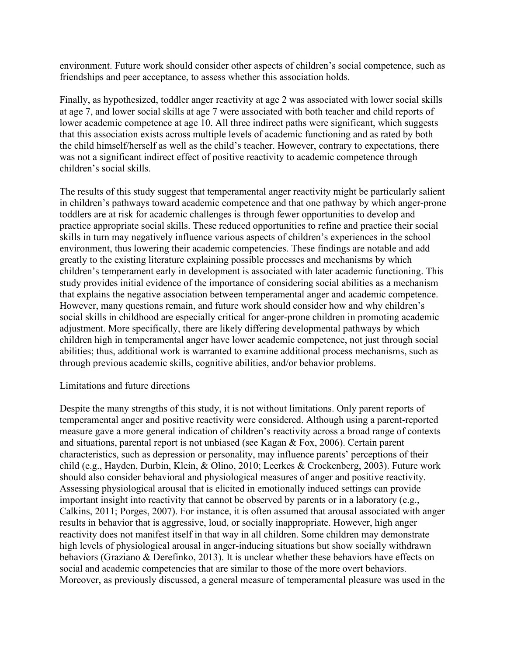environment. Future work should consider other aspects of children's social competence, such as friendships and peer acceptance, to assess whether this association holds.

Finally, as hypothesized, toddler anger reactivity at age 2 was associated with lower social skills at age 7, and lower social skills at age 7 were associated with both teacher and child reports of lower academic competence at age 10. All three indirect paths were significant, which suggests that this association exists across multiple levels of academic functioning and as rated by both the child himself/herself as well as the child's teacher. However, contrary to expectations, there was not a significant indirect effect of positive reactivity to academic competence through children's social skills.

The results of this study suggest that temperamental anger reactivity might be particularly salient in children's pathways toward academic competence and that one pathway by which anger-prone toddlers are at risk for academic challenges is through fewer opportunities to develop and practice appropriate social skills. These reduced opportunities to refine and practice their social skills in turn may negatively influence various aspects of children's experiences in the school environment, thus lowering their academic competencies. These findings are notable and add greatly to the existing literature explaining possible processes and mechanisms by which children's temperament early in development is associated with later academic functioning. This study provides initial evidence of the importance of considering social abilities as a mechanism that explains the negative association between temperamental anger and academic competence. However, many questions remain, and future work should consider how and why children's social skills in childhood are especially critical for anger-prone children in promoting academic adjustment. More specifically, there are likely differing developmental pathways by which children high in temperamental anger have lower academic competence, not just through social abilities; thus, additional work is warranted to examine additional process mechanisms, such as through previous academic skills, cognitive abilities, and/or behavior problems.

# Limitations and future directions

Despite the many strengths of this study, it is not without limitations. Only parent reports of temperamental anger and positive reactivity were considered. Although using a parent-reported measure gave a more general indication of children's reactivity across a broad range of contexts and situations, parental report is not unbiased (see Kagan & Fox, 2006). Certain parent characteristics, such as depression or personality, may influence parents' perceptions of their child (e.g., Hayden, Durbin, Klein, & Olino, 2010; Leerkes & Crockenberg, 2003). Future work should also consider behavioral and physiological measures of anger and positive reactivity. Assessing physiological arousal that is elicited in emotionally induced settings can provide important insight into reactivity that cannot be observed by parents or in a laboratory (e.g., Calkins, 2011; Porges, 2007). For instance, it is often assumed that arousal associated with anger results in behavior that is aggressive, loud, or socially inappropriate. However, high anger reactivity does not manifest itself in that way in all children. Some children may demonstrate high levels of physiological arousal in anger-inducing situations but show socially withdrawn behaviors (Graziano & Derefinko, 2013). It is unclear whether these behaviors have effects on social and academic competencies that are similar to those of the more overt behaviors. Moreover, as previously discussed, a general measure of temperamental pleasure was used in the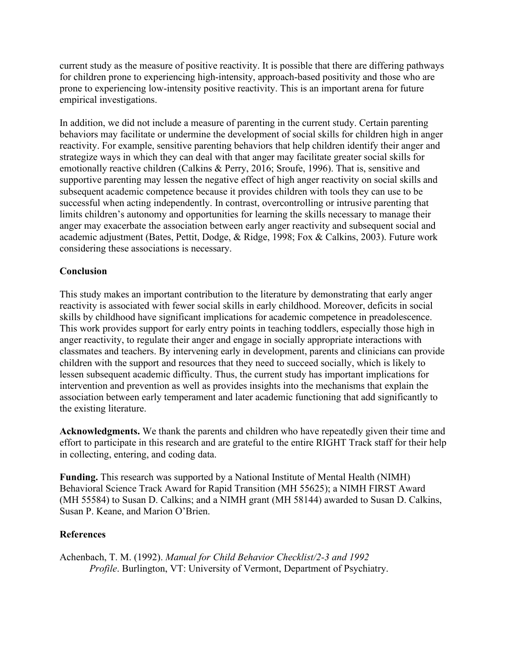current study as the measure of positive reactivity. It is possible that there are differing pathways for children prone to experiencing high-intensity, approach-based positivity and those who are prone to experiencing low-intensity positive reactivity. This is an important arena for future empirical investigations.

In addition, we did not include a measure of parenting in the current study. Certain parenting behaviors may facilitate or undermine the development of social skills for children high in anger reactivity. For example, sensitive parenting behaviors that help children identify their anger and strategize ways in which they can deal with that anger may facilitate greater social skills for emotionally reactive children (Calkins & Perry, 2016; Sroufe, 1996). That is, sensitive and supportive parenting may lessen the negative effect of high anger reactivity on social skills and subsequent academic competence because it provides children with tools they can use to be successful when acting independently. In contrast, overcontrolling or intrusive parenting that limits children's autonomy and opportunities for learning the skills necessary to manage their anger may exacerbate the association between early anger reactivity and subsequent social and academic adjustment (Bates, Pettit, Dodge, & Ridge, 1998; Fox & Calkins, 2003). Future work considering these associations is necessary.

# **Conclusion**

This study makes an important contribution to the literature by demonstrating that early anger reactivity is associated with fewer social skills in early childhood. Moreover, deficits in social skills by childhood have significant implications for academic competence in preadolescence. This work provides support for early entry points in teaching toddlers, especially those high in anger reactivity, to regulate their anger and engage in socially appropriate interactions with classmates and teachers. By intervening early in development, parents and clinicians can provide children with the support and resources that they need to succeed socially, which is likely to lessen subsequent academic difficulty. Thus, the current study has important implications for intervention and prevention as well as provides insights into the mechanisms that explain the association between early temperament and later academic functioning that add significantly to the existing literature.

**Acknowledgments.** We thank the parents and children who have repeatedly given their time and effort to participate in this research and are grateful to the entire RIGHT Track staff for their help in collecting, entering, and coding data.

**Funding.** This research was supported by a National Institute of Mental Health (NIMH) Behavioral Science Track Award for Rapid Transition (MH 55625); a NIMH FIRST Award (MH 55584) to Susan D. Calkins; and a NIMH grant (MH 58144) awarded to Susan D. Calkins, Susan P. Keane, and Marion O'Brien.

# **References**

Achenbach, T. M. (1992). *Manual for Child Behavior Checklist/2-3 and 1992 Profile*. Burlington, VT: University of Vermont, Department of Psychiatry.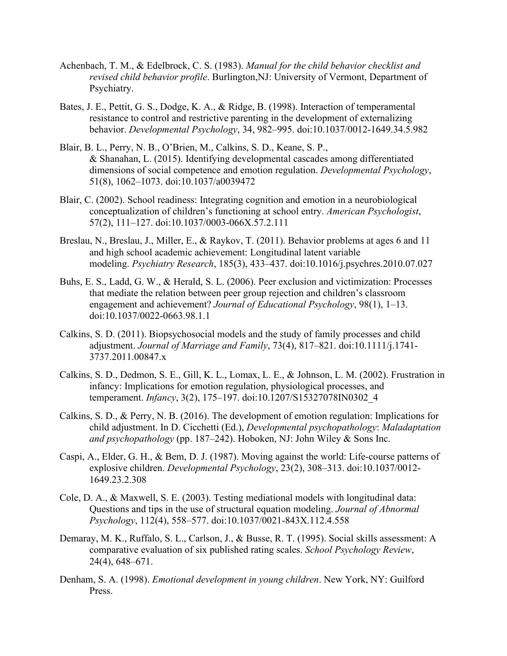- Achenbach, T. M., & Edelbrock, C. S. (1983). *Manual for the child behavior checklist and revised child behavior profile*. Burlington,NJ: University of Vermont, Department of Psychiatry.
- Bates, J. E., Pettit, G. S., Dodge, K. A., & Ridge, B. (1998). Interaction of temperamental resistance to control and restrictive parenting in the development of externalizing behavior. *Developmental Psychology*, 34, 982–995. doi:10.1037/0012-1649.34.5.982
- Blair, B. L., Perry, N. B., O'Brien, M., Calkins, S. D., Keane, S. P., & Shanahan, L. (2015). Identifying developmental cascades among differentiated dimensions of social competence and emotion regulation. *Developmental Psychology*, 51(8), 1062–1073. doi:10.1037/a0039472
- Blair, C. (2002). School readiness: Integrating cognition and emotion in a neurobiological conceptualization of children's functioning at school entry. *American Psychologist*, 57(2), 111–127. doi:10.1037/0003-066X.57.2.111
- Breslau, N., Breslau, J., Miller, E., & Raykov, T. (2011). Behavior problems at ages 6 and 11 and high school academic achievement: Longitudinal latent variable modeling. *Psychiatry Research*, 185(3), 433–437. doi:10.1016/j.psychres.2010.07.027
- Buhs, E. S., Ladd, G. W., & Herald, S. L. (2006). Peer exclusion and victimization: Processes that mediate the relation between peer group rejection and children's classroom engagement and achievement? *Journal of Educational Psychology*, 98(1), 1–13. doi:10.1037/0022-0663.98.1.1
- Calkins, S. D. (2011). Biopsychosocial models and the study of family processes and child adjustment. *Journal of Marriage and Family*, 73(4), 817–821. doi:10.1111/j.1741- 3737.2011.00847.x
- Calkins, S. D., Dedmon, S. E., Gill, K. L., Lomax, L. E., & Johnson, L. M. (2002). Frustration in infancy: Implications for emotion regulation, physiological processes, and temperament. *Infancy*, 3(2), 175–197. doi:10.1207/S15327078IN0302\_4
- Calkins, S. D., & Perry, N. B. (2016). The development of emotion regulation: Implications for child adjustment. In D. Cicchetti (Ed.), *Developmental psychopathology*: *Maladaptation and psychopathology* (pp. 187–242). Hoboken, NJ: John Wiley & Sons Inc.
- Caspi, A., Elder, G. H., & Bem, D. J. (1987). Moving against the world: Life-course patterns of explosive children. *Developmental Psychology*, 23(2), 308–313. doi:10.1037/0012- 1649.23.2.308
- Cole, D. A., & Maxwell, S. E. (2003). Testing mediational models with longitudinal data: Questions and tips in the use of structural equation modeling. *Journal of Abnormal Psychology*, 112(4), 558–577. doi:10.1037/0021-843X.112.4.558
- Demaray, M. K., Ruffalo, S. L., Carlson, J., & Busse, R. T. (1995). Social skills assessment: A comparative evaluation of six published rating scales. *School Psychology Review*, 24(4), 648–671.
- Denham, S. A. (1998). *Emotional development in young children*. New York, NY: Guilford Press.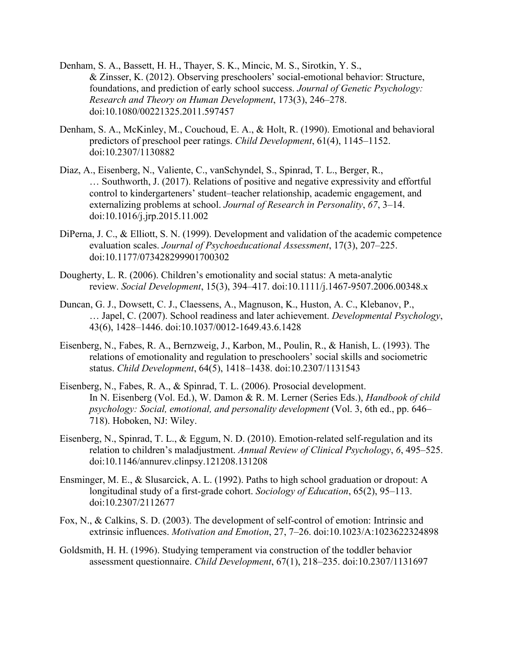- Denham, S. A., Bassett, H. H., Thayer, S. K., Mincic, M. S., Sirotkin, Y. S., & Zinsser, K. (2012). Observing preschoolers' social-emotional behavior: Structure, foundations, and prediction of early school success. *Journal of Genetic Psychology: Research and Theory on Human Development*, 173(3), 246–278. doi:10.1080/00221325.2011.597457
- Denham, S. A., McKinley, M., Couchoud, E. A., & Holt, R. (1990). Emotional and behavioral predictors of preschool peer ratings. *Child Development*, 61(4), 1145–1152. doi:10.2307/1130882
- Diaz, A., Eisenberg, N., Valiente, C., vanSchyndel, S., Spinrad, T. L., Berger, R., … Southworth, J. (2017). Relations of positive and negative expressivity and effortful control to kindergarteners' student–teacher relationship, academic engagement, and externalizing problems at school. *Journal of Research in Personality*, *67*, 3–14. doi:10.1016/j.jrp.2015.11.002
- DiPerna, J. C., & Elliott, S. N. (1999). Development and validation of the academic competence evaluation scales. *Journal of Psychoeducational Assessment*, 17(3), 207–225. doi:10.1177/073428299901700302
- Dougherty, L. R. (2006). Children's emotionality and social status: A meta-analytic review. *Social Development*, 15(3), 394–417. doi:10.1111/j.1467-9507.2006.00348.x
- Duncan, G. J., Dowsett, C. J., Claessens, A., Magnuson, K., Huston, A. C., Klebanov, P., … Japel, C. (2007). School readiness and later achievement. *Developmental Psychology*, 43(6), 1428–1446. doi:10.1037/0012-1649.43.6.1428
- Eisenberg, N., Fabes, R. A., Bernzweig, J., Karbon, M., Poulin, R., & Hanish, L. (1993). The relations of emotionality and regulation to preschoolers' social skills and sociometric status. *Child Development*, 64(5), 1418–1438. doi:10.2307/1131543
- Eisenberg, N., Fabes, R. A., & Spinrad, T. L. (2006). Prosocial development. In N. Eisenberg (Vol. Ed.), W. Damon & R. M. Lerner (Series Eds.), *Handbook of child psychology: Social, emotional, and personality development* (Vol. 3, 6th ed., pp. 646– 718). Hoboken, NJ: Wiley.
- Eisenberg, N., Spinrad, T. L., & Eggum, N. D. (2010). Emotion-related self-regulation and its relation to children's maladjustment. *Annual Review of Clinical Psychology*, *6*, 495–525. doi:10.1146/annurev.clinpsy.121208.131208
- Ensminger, M. E., & Slusarcick, A. L. (1992). Paths to high school graduation or dropout: A longitudinal study of a first-grade cohort. *Sociology of Education*, 65(2), 95–113. doi:10.2307/2112677
- Fox, N., & Calkins, S. D. (2003). The development of self-control of emotion: Intrinsic and extrinsic influences. *Motivation and Emotion*, 27, 7–26. doi:10.1023/A:1023622324898
- Goldsmith, H. H. (1996). Studying temperament via construction of the toddler behavior assessment questionnaire. *Child Development*, 67(1), 218–235. doi:10.2307/1131697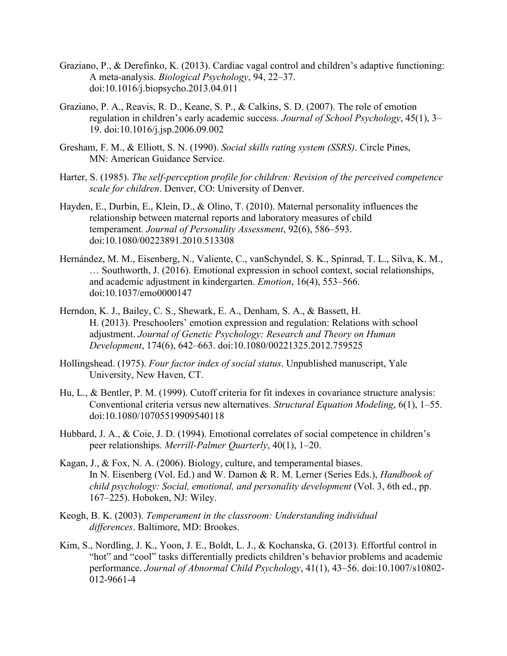- Graziano, P., & Derefinko, K. (2013). Cardiac vagal control and children's adaptive functioning: A meta-analysis. *Biological Psychology*, 94, 22–37. doi:10.1016/j.biopsycho.2013.04.011
- Graziano, P. A., Reavis, R. D., Keane, S. P., & Calkins, S. D. (2007). The role of emotion regulation in children's early academic success. *Journal of School Psychology*, 45(1), 3– 19. doi:10.1016/j.jsp.2006.09.002
- Gresham, F. M., & Elliott, S. N. (1990). *Social skills rating system (SSRS)*. Circle Pines, MN: American Guidance Service.
- Harter, S. (1985). *The self-perception profile for children: Revision of the perceived competence scale for children*. Denver, CO: University of Denver.
- Hayden, E., Durbin, E., Klein, D., & Olino, T. (2010). Maternal personality influences the relationship between maternal reports and laboratory measures of child temperament. *Journal of Personality Assessment*, 92(6), 586–593. doi:10.1080/00223891.2010.513308
- Hernández, M. M., Eisenberg, N., Valiente, C., vanSchyndel, S. K., Spinrad, T. L., Silva, K. M., … Southworth, J. (2016). Emotional expression in school context, social relationships, and academic adjustment in kindergarten. *Emotion*, 16(4), 553–566. doi:10.1037/emo0000147
- Herndon, K. J., Bailey, C. S., Shewark, E. A., Denham, S. A., & Bassett, H. H. (2013). Preschoolers' emotion expression and regulation: Relations with school adjustment. *Journal of Genetic Psychology: Research and Theory on Human Development*, 174(6), 642–663. doi:10.1080/00221325.2012.759525
- Hollingshead. (1975). *Four factor index of social status*. Unpublished manuscript, Yale University, New Haven, CT.
- Hu, L., & Bentler, P. M. (1999). Cutoff criteria for fit indexes in covariance structure analysis: Conventional criteria versus new alternatives. *Structural Equation Modeling*, 6(1), 1–55. doi:10.1080/10705519909540118
- Hubbard, J. A., & Coie, J. D. (1994). Emotional correlates of social competence in children's peer relationships. *Merrill-Palmer Quarterly*, 40(1), 1–20.
- Kagan, J., & Fox, N. A. (2006). Biology, culture, and temperamental biases. In N. Eisenberg (Vol. Ed.) and W. Damon & R. M. Lerner (Series Eds.), *Handbook of child psychology: Social, emotional, and personality development* (Vol. 3, 6th ed., pp. 167–225). Hoboken, NJ: Wiley.
- Keogh, B. K. (2003). *Temperament in the classroom: Understanding individual differences*. Baltimore, MD: Brookes.
- Kim, S., Nordling, J. K., Yoon, J. E., Boldt, L. J., & Kochanska, G. (2013). Effortful control in "hot" and "cool" tasks differentially predicts children's behavior problems and academic performance. *Journal of Abnormal Child Psychology*, 41(1), 43–56. doi:10.1007/s10802- 012-9661-4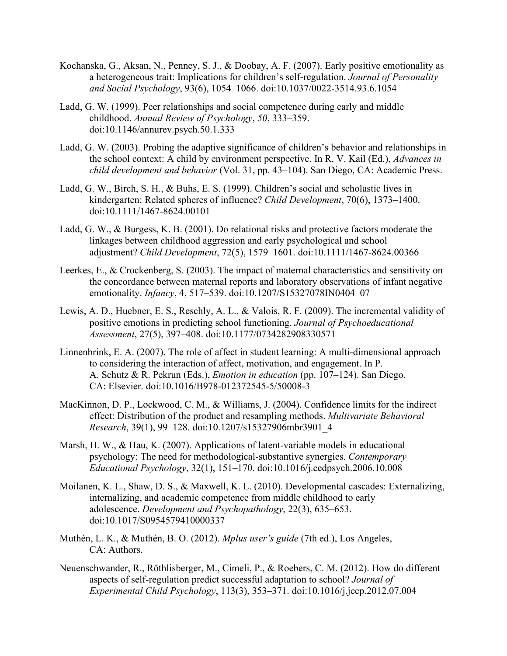- Kochanska, G., Aksan, N., Penney, S. J., & Doobay, A. F. (2007). Early positive emotionality as a heterogeneous trait: Implications for children's self-regulation. *Journal of Personality and Social Psychology*, 93(6), 1054–1066. doi:10.1037/0022-3514.93.6.1054
- Ladd, G. W. (1999). Peer relationships and social competence during early and middle childhood. *Annual Review of Psychology*, *50*, 333–359. doi:10.1146/annurev.psych.50.1.333
- Ladd, G. W. (2003). Probing the adaptive significance of children's behavior and relationships in the school context: A child by environment perspective. In R. V. Kail (Ed.), *Advances in child development and behavior* (Vol. 31, pp. 43–104). San Diego, CA: Academic Press.
- Ladd, G. W., Birch, S. H., & Buhs, E. S. (1999). Children's social and scholastic lives in kindergarten: Related spheres of influence? *Child Development*, 70(6), 1373–1400. doi:10.1111/1467-8624.00101
- Ladd, G. W., & Burgess, K. B. (2001). Do relational risks and protective factors moderate the linkages between childhood aggression and early psychological and school adjustment? *Child Development*, 72(5), 1579–1601. doi:10.1111/1467-8624.00366
- Leerkes, E., & Crockenberg, S. (2003). The impact of maternal characteristics and sensitivity on the concordance between maternal reports and laboratory observations of infant negative emotionality. *Infancy*, 4, 517–539. doi:10.1207/S15327078IN0404\_07
- Lewis, A. D., Huebner, E. S., Reschly, A. L., & Valois, R. F. (2009). The incremental validity of positive emotions in predicting school functioning. *Journal of Psychoeducational Assessment*, 27(5), 397–408. doi:10.1177/0734282908330571
- Linnenbrink, E. A. (2007). The role of affect in student learning: A multi-dimensional approach to considering the interaction of affect, motivation, and engagement. In P. A. Schutz & R. Pekrun (Eds.), *Emotion in education* (pp. 107–124). San Diego, CA: Elsevier. doi:10.1016/B978-012372545-5/50008-3
- MacKinnon, D. P., Lockwood, C. M., & Williams, J. (2004). Confidence limits for the indirect effect: Distribution of the product and resampling methods. *Multivariate Behavioral Research*, 39(1), 99–128. doi:10.1207/s15327906mbr3901\_4
- Marsh, H. W., & Hau, K. (2007). Applications of latent-variable models in educational psychology: The need for methodological-substantive synergies. *Contemporary Educational Psychology*, 32(1), 151–170. doi:10.1016/j.cedpsych.2006.10.008
- Moilanen, K. L., Shaw, D. S., & Maxwell, K. L. (2010). Developmental cascades: Externalizing, internalizing, and academic competence from middle childhood to early adolescence. *Development and Psychopathology*, 22(3), 635–653. doi:10.1017/S0954579410000337
- Muthén, L. K., & Muthén, B. O. (2012). *Mplus user's guide* (7th ed.), Los Angeles, CA: Authors.
- Neuenschwander, R., Röthlisberger, M., Cimeli, P., & Roebers, C. M. (2012). How do different aspects of self-regulation predict successful adaptation to school? *Journal of Experimental Child Psychology*, 113(3), 353–371. doi:10.1016/j.jecp.2012.07.004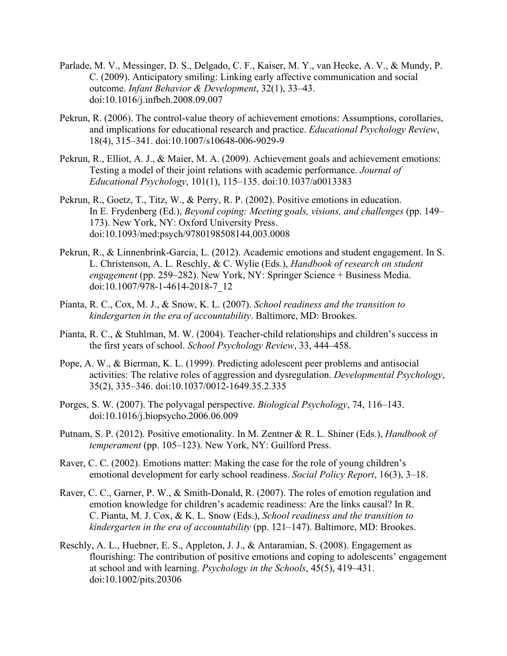- Parlade, M. V., Messinger, D. S., Delgado, C. F., Kaiser, M. Y., van Hecke, A. V., & Mundy, P. C. (2009). Anticipatory smiling: Linking early affective communication and social outcome. *Infant Behavior & Development*, 32(1), 33–43. doi:10.1016/j.infbeh.2008.09.007
- Pekrun, R. (2006). The control-value theory of achievement emotions: Assumptions, corollaries, and implications for educational research and practice. *Educational Psychology Review*, 18(4), 315–341. doi:10.1007/s10648-006-9029-9
- Pekrun, R., Elliot, A. J., & Maier, M. A. (2009). Achievement goals and achievement emotions: Testing a model of their joint relations with academic performance. *Journal of Educational Psychology*, 101(1), 115–135. doi:10.1037/a0013383
- Pekrun, R., Goetz, T., Titz, W., & Perry, R. P. (2002). Positive emotions in education. In E. Frydenberg (Ed.), *Beyond coping: Meeting goals, visions, and challenges* (pp. 149– 173). New York, NY: Oxford University Press. doi:10.1093/med:psych/9780198508144.003.0008
- Pekrun, R., & Linnenbrink-Garcia, L. (2012). Academic emotions and student engagement. In S. L. Christenson, A. L. Reschly, & C. Wylie (Eds.), *Handbook of research on student engagement* (pp. 259–282). New York, NY: Springer Science + Business Media. doi:10.1007/978-1-4614-2018-7\_12
- Pianta, R. C., Cox, M. J., & Snow, K. L. (2007). *School readiness and the transition to kindergarten in the era of accountability*. Baltimore, MD: Brookes.
- Pianta, R. C., & Stuhlman, M. W. (2004). Teacher-child relationships and children's success in the first years of school. *School Psychology Review*, 33, 444–458.
- Pope, A. W., & Bierman, K. L. (1999). Predicting adolescent peer problems and antisocial activities: The relative roles of aggression and dysregulation. *Developmental Psychology*, 35(2), 335–346. doi:10.1037/0012-1649.35.2.335
- Porges, S. W. (2007). The polyvagal perspective. *Biological Psychology*, 74, 116–143. doi:10.1016/j.biopsycho.2006.06.009
- Putnam, S. P. (2012). Positive emotionality. In M. Zentner & R. L. Shiner (Eds.), *Handbook of temperament* (pp. 105–123). New York, NY: Guilford Press.
- Raver, C. C. (2002). Emotions matter: Making the case for the role of young children's emotional development for early school readiness. *Social Policy Report*, 16(3), 3–18.
- Raver, C. C., Garner, P. W., & Smith-Donald, R. (2007). The roles of emotion regulation and emotion knowledge for children's academic readiness: Are the links causal? In R. C. Pianta, M. J. Cox, & K. L. Snow (Eds.), *School readiness and the transition to kindergarten in the era of accountability* (pp. 121–147). Baltimore, MD: Brookes.
- Reschly, A. L., Huebner, E. S., Appleton, J. J., & Antaramian, S. (2008). Engagement as flourishing: The contribution of positive emotions and coping to adolescents' engagement at school and with learning. *Psychology in the Schools*, 45(5), 419–431. doi:10.1002/pits.20306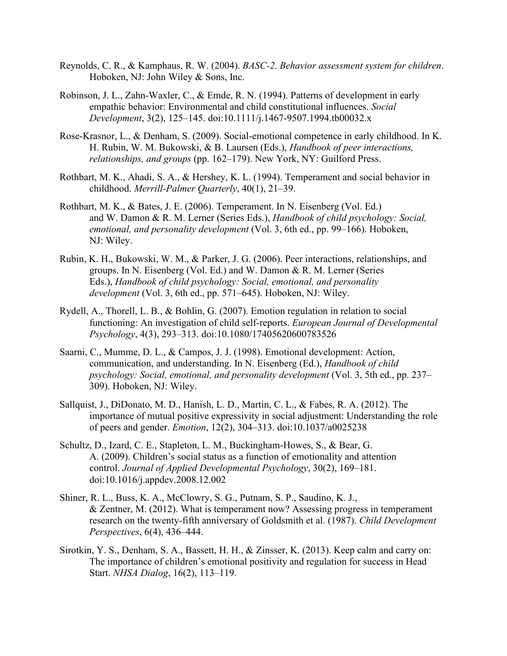- Reynolds, C. R., & Kamphaus, R. W. (2004). *BASC-2*. *Behavior assessment system for children*. Hoboken, NJ: John Wiley & Sons, Inc.
- Robinson, J. L., Zahn-Waxler, C., & Emde, R. N. (1994). Patterns of development in early empathic behavior: Environmental and child constitutional influences. *Social Development*, 3(2), 125–145. doi:10.1111/j.1467-9507.1994.tb00032.x
- Rose-Krasnor, L., & Denham, S. (2009). Social-emotional competence in early childhood. In K. H. Rubin, W. M. Bukowski, & B. Laursen (Eds.), *Handbook of peer interactions, relationships, and groups* (pp. 162–179). New York, NY: Guilford Press.
- Rothbart, M. K., Ahadi, S. A., & Hershey, K. L. (1994). Temperament and social behavior in childhood. *Merrill-Palmer Quarterly*, 40(1), 21–39.
- Rothbart, M. K., & Bates, J. E. (2006). Temperament. In N. Eisenberg (Vol. Ed.) and W. Damon & R. M. Lerner (Series Eds.), *Handbook of child psychology: Social, emotional, and personality development* (Vol. 3, 6th ed., pp. 99–166). Hoboken, NJ: Wiley.
- Rubin, K. H., Bukowski, W. M., & Parker, J. G. (2006). Peer interactions, relationships, and groups. In N. Eisenberg (Vol. Ed.) and W. Damon & R. M. Lerner (Series Eds.), *Handbook of child psychology: Social, emotional, and personality development* (Vol. 3, 6th ed., pp. 571–645). Hoboken, NJ: Wiley.
- Rydell, A., Thorell, L. B., & Bohlin, G. (2007). Emotion regulation in relation to social functioning: An investigation of child self-reports. *European Journal of Developmental Psychology*, 4(3), 293–313. doi:10.1080/17405620600783526
- Saarni, C., Mumme, D. L., & Campos, J. J. (1998). Emotional development: Action, communication, and understanding. In N. Eisenberg (Ed.), *Handbook of child psychology: Social, emotional, and personality development* (Vol. 3, 5th ed., pp. 237– 309). Hoboken, NJ: Wiley.
- Sallquist, J., DiDonato, M. D., Hanish, L. D., Martin, C. L., & Fabes, R. A. (2012). The importance of mutual positive expressivity in social adjustment: Understanding the role of peers and gender. *Emotion*, 12(2), 304–313. doi:10.1037/a0025238
- Schultz, D., Izard, C. E., Stapleton, L. M., Buckingham-Howes, S., & Bear, G. A. (2009). Children's social status as a function of emotionality and attention control. *Journal of Applied Developmental Psychology*, 30(2), 169–181. doi:10.1016/j.appdev.2008.12.002
- Shiner, R. L., Buss, K. A., McClowry, S. G., Putnam, S. P., Saudino, K. J., & Zentner, M. (2012). What is temperament now? Assessing progress in temperament research on the twenty‐fifth anniversary of Goldsmith et al. (1987). *Child Development Perspectives*, 6(4), 436–444.
- Sirotkin, Y. S., Denham, S. A., Bassett, H. H., & Zinsser, K. (2013). Keep calm and carry on: The importance of children's emotional positivity and regulation for success in Head Start. *NHSA Dialog*, 16(2), 113–119.